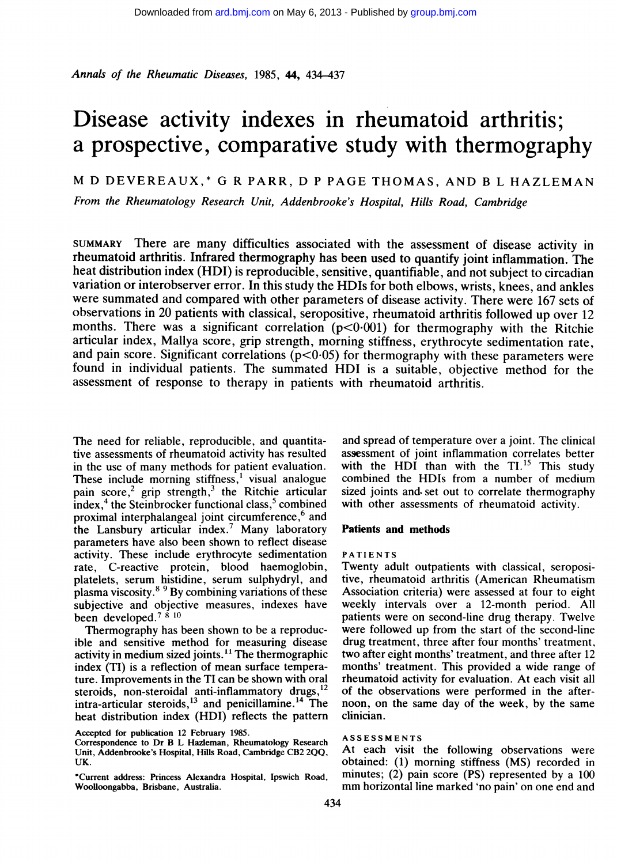Annals of the Rheumatic Diseases, 1985, 44, 434-437

# Disease activity indexes in rheumatoid arthritis; a prospective, comparative study with thermography

M D DEVEREAUX,\* G R PARR, D <sup>P</sup> PAGE THOMAS, AND <sup>B</sup> <sup>L</sup> HAZLEMAN

From the Rheumatology Research Unit, Addenbrooke's Hospital, Hills Road, Cambridge

SUMMARY There are many difficulties associated with the assessment of disease activity in rheumatoid arthritis. Infrared thermography has been used to quantify joint inflammation. The heat distribution index (HDI) is reproducible, sensitive, quantifiable, and not subject to circadian variation or interobserver error. In this study the HDIs for both elbows, wrists, knees, and ankles were summated and compared with other parameters of disease activity. There were 167 sets of observations in 20 patients with classical, seropositive, rheumatoid arthritis followed up over 12 months. There was a significant correlation  $(p<0.001)$  for thermography with the Ritchie articular index, Mallya score, grip strength, morning stiffness, erythrocyte sedimentation rate, and pain score. Significant correlations ( $p<0.05$ ) for thermography with these parameters were found in individual patients. The summated HDI is <sup>a</sup> suitable, objective method for the assessment of response to therapy in patients with rheumatoid arthritis.

The need for reliable, reproducible, and quantitative assessments of rheumatoid activity has resulted in the use of many methods for patient evaluation. These include morning stiffness,<sup>1</sup> visual analogue pain score,<sup>2</sup> grip strength,<sup>3</sup> the Ritchie articular  $index, 4$  the Steinbrocker functional class,<sup>5</sup> combined proximal interphalangeal joint circumference,<sup>6</sup> and the Lansbury articular index.7 Many laboratory parameters have also been shown to reflect disease activity. These include erythrocyte sedimentation rate, C-reactive protein, blood haemoglobin, platelets, serum histidine, serum sulphydryl, and plasma viscosity.8 <sup>9</sup> By combining variations of these subjective and objective measures, indexes have been developed.<sup>7  $\&$  10</sup>

Thermography has been shown to be a reproducible and sensitive method for measuring disease activity in medium sized joints. " The thermographic index (TI) is a reflection of mean surface temperature. Improvements in the TI can be shown with oral steroids, non-steroidal anti-inflammatory drugs,  $2^{\circ}$ intra-articular steroids,<sup>13</sup> and penicillamine.<sup>14</sup> The heat distribution index (HDI) reflects the pattern

\*Current address: Princess Alexandra Hospital, Ipswich Road, Woolloongabba, Brisbane, Australia.

and spread of temperature over a joint. The clinical assessment of joint inflammation correlates better with the HDI than with the  $TI$ <sup>15</sup>. This study combined the HDIs from a number of medium sized joints and set out to correlate thermography with other assessments of rheumatoid activity.

#### Patients and methods

#### PATIENTS

Twenty adult outpatients with classical, seropositive, rheumatoid arthritis (American Rheumatism Association criteria) were assessed at four to eight weekly intervals over a 12-month period. All patients were on second-line drug therapy. Twelve were followed up from the start of the second-line drug treatment, three after four months' treatment, two after eight months' treatment, and three after 12 months' treatment. This provided a wide range of rheumatoid activity for evaluation. At each visit all of the observations were performed in the afternoon, on the same day of the week, by the same clinician.

#### ASSESSMENTS

At each visit the following observations were obtained: (1) morning stiffness (MS) recorded in minutes; (2) pain score (PS) represented by a 100 mm horizontal line marked 'no pain' on one end and

Accepted for publication 12 February 1985.

Correspondence to Dr B L Hazleman, Rheumatology Research Unit, Addenbrooke's Hospital, Hills Road, Cambridge CB2 2QQ, UK.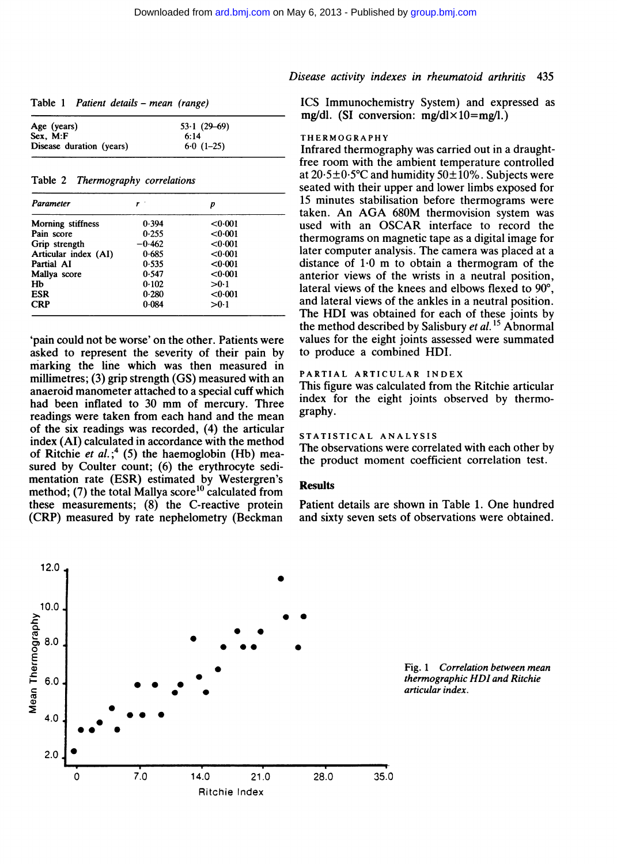| Table 1 Patient details – mean (range) |  |
|----------------------------------------|--|
|----------------------------------------|--|

| Age (years)              | $53.1(29-69)$ |
|--------------------------|---------------|
| Sex. M: F                | 6:14          |
| Disease duration (years) | $6.0(1-25)$   |

Table 2 Thermography correlations

| Parameter            |          | p       |  |
|----------------------|----------|---------|--|
| Morning stiffness    | 0.394    | < 0.001 |  |
| Pain score           | 0.255    | < 0.001 |  |
| Grip strength        | $-0.462$ | <0.001  |  |
| Articular index (AI) | 0.685    | < 0.001 |  |
| Partial AI           | 0.535    | < 0.001 |  |
| Mallya score         | 0.547    | <0.001  |  |
| Hb                   | 0.102    | >0.1    |  |
| ESR                  | 0.280    | < 0.001 |  |
| <b>CRP</b>           | 0.084    | >0.1    |  |

'pain could not be worse' on the other. Patients were asked to represent the severity of their pain by marking the line which was then measured in millimetres; (3) grip strength (GS) measured with an anaeroid manometer attached to a special cuff which had been inflated to <sup>30</sup> mm of mercury. Three readings were taken from each hand and the mean of the six readings was recorded, (4) the articular index (AI) calculated in accordance with the method of Ritchie et al.;<sup>4</sup> (5) the haemoglobin (Hb) measured by Coulter count; (6) the erythrocyte sedimentation rate (ESR) estimated by Westergren's method; (7) the total Mallya score<sup>10</sup> calculated from these measurements; (8) the C-reactive protein (CRP) measured by rate nephelometry (Beckman

## Disease activity indexes in rheumatoid arthritis 435

ICS Immunochemistry System) and expressed as mg/dl. (SI conversion:  $mg/dl \times 10=$ mg/l.)

#### THERMOGRAPHY

Infrared thermography was carried out in a draughtfree room with the ambient temperature controlled at  $20.5\pm0.5^{\circ}$ C and humidity  $50\pm10\%$ . Subjects were seated with their upper and lower limbs exposed for 15 minutes stabilisation before thermograms were taken. An AGA 680M thermovision system was used with an OSCAR interface to record the thermograms on magnetic tape as a digital image for later computer analysis. The camera was placed at a distance of  $1.0 \text{ m}$  to obtain a thermogram of the anterior views of the wrists in a neutral position, lateral views of the knees and elbows flexed to 90°, and lateral views of the ankles in a neutral position. The HDI was obtained for each of these joints by the method described by Salisbury et  $al$ .<sup>15</sup> Abnormal values for the eight joints assessed were summated to produce a combined HDI.

## PARTIAL ARTICULAR INDEX

This figure was calculated from the Ritchie articular index for the eight joints observed by thermography.

## STATISTICAL ANALYSIS

The observations were correlated with each other by the product moment coefficient correlation test.

### **Results**

Patient details are shown in Table 1. One hundred and sixty seven sets of observations were obtained.



Fig. <sup>1</sup> Correlation between mean thermographic HDI and Ritchie articular index.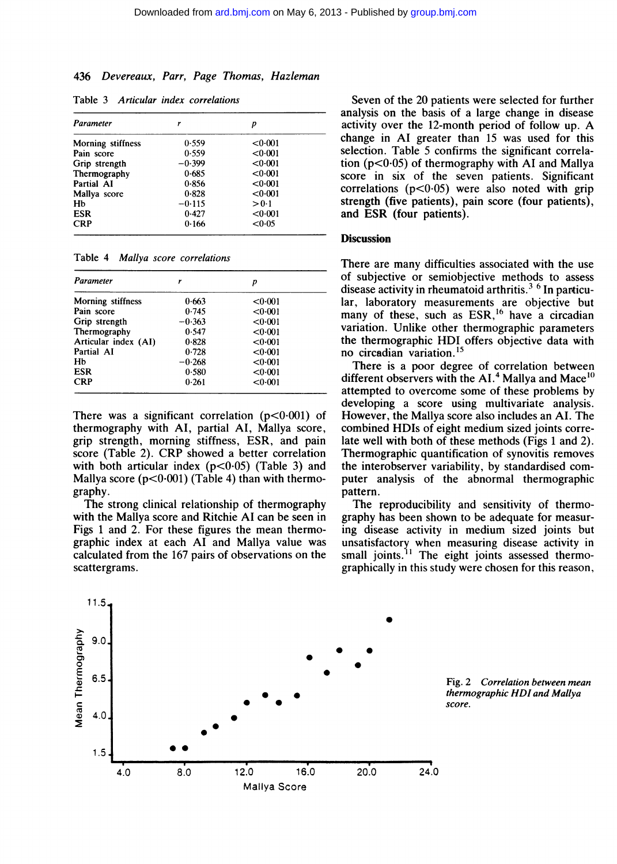## 436 Devereaux, Parr, Page Thomas, Hazleman

| Parameter                | r        | р       |
|--------------------------|----------|---------|
| <b>Morning stiffness</b> | 0.559    | <0.001  |
| Pain score               | 0.559    | < 0.001 |
| Grip strength            | $-0.399$ | < 0.001 |
| Thermography             | 0.685    | < 0.001 |
| Partial AI               | 0.856    | <0.001  |
| Mallya score             | 0.828    | < 0.001 |
| Hb                       | $-0.115$ | > 0.1   |
| <b>ESR</b>               | 0.427    | < 0.001 |
| <b>CRP</b>               | 0.166    | < 0.05  |

Table 3 Articular index correlations

Table 4 Mallya score correlations

| Parameter            |          | D       |  |
|----------------------|----------|---------|--|
| Morning stiffness    | 0.663    | < 0.001 |  |
| Pain score           | 0.745    | < 0.001 |  |
| Grip strength        | $-0.363$ | < 0.001 |  |
| Thermography         | 0.547    | < 0.001 |  |
| Articular index (AI) | 0.828    | <0.001  |  |
| Partial AI           | 0.728    | < 0.001 |  |
| Hb                   | $-0.268$ | <0.001  |  |
| <b>ESR</b>           | 0.580    | < 0.001 |  |
| <b>CRP</b>           | 0.261    | < 0.001 |  |

There was a significant correlation  $(p<0.001)$  of thermography with Al, partial Al, Mallya score, grip strength, morning stiffness, ESR, and pain score (Table 2). CRP showed <sup>a</sup> better correlation with both articular index  $(p<0.05)$  (Table 3) and Mallya score  $(p<0.001)$  (Table 4) than with thermography.

The strong clinical relationship of thermography with the Mallya score and Ritchie Al can be seen in Figs <sup>1</sup> and 2. For these figures the mean thermographic index at each AT and Mallya value was calculated from the 167 pairs of observations on the scattergrams.

Seven of the 20 patients were selected for further analysis on the basis of a large change in disease activity over the 12-month period of follow up. A change in Al greater than 15 was used for this selection. Table 5 confirms the significant correlation  $(p<0.05)$  of thermography with AI and Mallya score in six of the seven patients. Significant correlations  $(p<0.05)$  were also noted with grip strength (five patients), pain score (four patients), and ESR (four patients).

## **Discussion**

There are many difficulties associated with the use of subjective or semiobjective methods to assess disease activity in rheumatoid arthritis.<sup>3  $6$ </sup> In particular, laboratory measurements are objective but many of these, such as ESR,<sup>16</sup> have a circadian variation. Unlike other thermographic parameters the thermographic HDI offers objective data with no circadian variation.<sup>15</sup>

There is a poor degree of correlation between different observers with the  $AI<sup>4</sup>$  Mallya and Mace<sup>10</sup> attempted to overcome some of these problems by developing a score using multivariate analysis. However, the Mallya score also includes an AI. The combined HDIs of eight medium sized joints correlate well with both of these methods (Figs <sup>1</sup> and 2). Thermographic quantification of synovitis removes the interobserver variability, by standardised computer analysis of the abnormal thermographic pattern.

The reproducibility and sensitivity of thermography has been shown to be adequate for measuring disease activity in medium sized joints but unsatisfactory when measuring disease activity in small joints.<sup>11</sup> The eight joints assessed thermographically in this study were chosen for this reason,



Fig. 2 Correlation between mean thermographic HDI and Mallya score.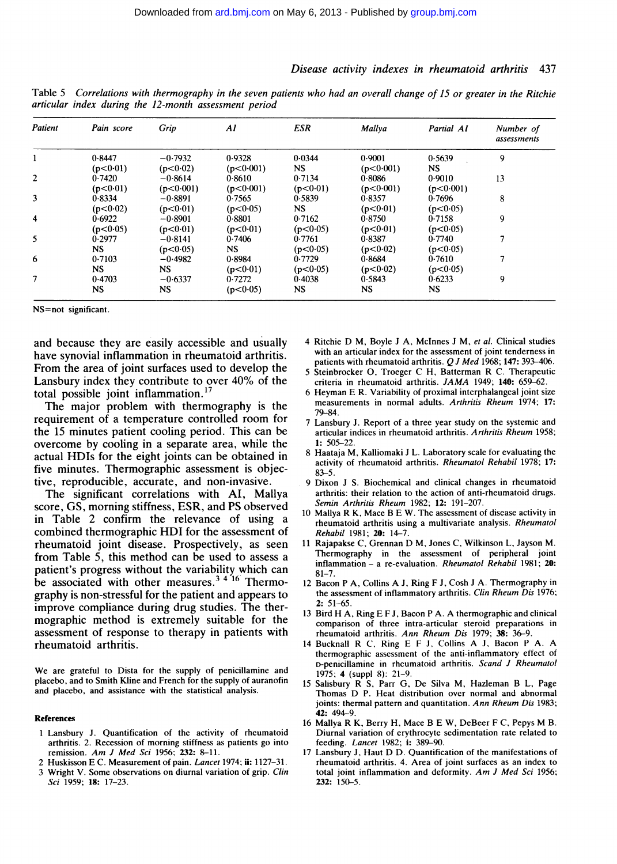#### Disease activity indexes in rheumatoid arthritis 437

| Patient                 | Pain score | Grip      | AI         | <b>ESR</b> | Mallya    | Partial AI | Number of<br>assessments |
|-------------------------|------------|-----------|------------|------------|-----------|------------|--------------------------|
|                         | 0.8447     | $-0.7932$ | 0.9328     | 0.0344     | 0.9001    | 0.5639     | 9                        |
|                         | (p<0.01)   | (p<0.02)  | (p<0.001)  | <b>NS</b>  | (p<0.001) | NS.        |                          |
| $\overline{c}$          | 0.7420     | $-0.8614$ | 0.8610     | 0.7134     | 0.8086    | 0.9010     | 13                       |
|                         | (p<0.01)   | (p<0.001) | (p<0.001)  | (p<0.01)   | (p<0.001) | (p<0.001)  |                          |
| 3                       | 0.8334     | $-0.8891$ | 0.7565     | 0.5839     | 0.8357    | 0.7696     | 8                        |
|                         | (p<0.02)   | (p<0.01)  | (p<0.05)   | NS.        | (p<0.01)  | (p<0.05)   |                          |
| $\overline{\mathbf{4}}$ | 0.6922     | $-0.8901$ | 0.8801     | 0.7162     | 0.8750    | 0.7158     | 9                        |
|                         | (p<0.05)   | (p<0.01)  | (p<0.01)   | (p<0.05)   | (p<0.01)  | (p<0.05)   |                          |
| 5                       | 0.2977     | $-0.8141$ | 0.7406     | 0.7761     | 0.8387    | 0.7740     | 7                        |
|                         | <b>NS</b>  | (p<0.05)  | <b>NS</b>  | (p<0.05)   | (p<0.02)  | (p<0.05)   |                          |
| 6                       | 0.7103     | $-0.4982$ | 0.8984     | 0.7729     | 0.8684    | 0.7610     | 7                        |
|                         | <b>NS</b>  | <b>NS</b> | (p < 0.01) | (p<0.05)   | (p<0.02)  | (p<0.05)   |                          |
| 7                       | 0.4703     | $-0.6337$ | 0.7272     | 0.4038     | 0.5843    | 0.6233     | 9                        |
|                         | NS.        | <b>NS</b> | (p<0.05)   | NS.        | <b>NS</b> | NS.        |                          |

Table <sup>5</sup> Correlations with thermography in the seven patients who had an overall change of 15 or greater in the Ritchie articular index during the 12-month assessment period

NS=not significant.

and because they are easily accessible and usually have synovial inflammation in rheumatoid arthritis. From the area of joint surfaces used to develop the Lansbury index they contribute to over 40% of the total possible joint inflammation.<sup>17</sup>

The major problem with thermography is the requirement of a temperature controlled room for the 15 minutes patient cooling period. This can be overcome by cooling in a separate area, while the actual HDIs for the eight joints can be obtained in five minutes. Thermographic assessment is objective, reproducible, accurate, and non-invasive.

The significant correlations with Al, Mallya score, GS, morning stiffness, ESR, and PS observed in Table 2 confirm the relevance of using a combined thermographic HDI for the assessment of rheumatoid joint disease. Prospectively, as seen from Table 5, this method can be used to assess a patient's progress without the variability which can be associated with other measures.<sup>3416</sup> Thermography is non-stressful for the patient and appears to improve compliance during drug studies. The thermographic method is extremely suitable for the assessment of response to therapy in patients with rheumatoid arthritis.

We are grateful to Dista for the supply of penicillamine and placebo, and to Smith Kline and French for the supply of auranofin and placebo, and assistance with the statistical analysis.

#### References

- <sup>1</sup> Lansbury J. Quantification of the activity of rheumatoid arthritis. 2. Recession of morning stiffness as patients go into remission. Am J Med Sci 1956; 232: 8-11.
- 2 Huskisson E C. Measurement of pain. Lancet 1974; ii: 1127-31.
- 3 Wright V. Some observations on diurnal variation of grip. Clin Sci 1959; 18: 17-23.
- <sup>4</sup> Ritchie D M, Boyle <sup>J</sup> A, McInnes <sup>J</sup> M, et al. Clinical studies with an articular index for the assessment of joint tenderness in patients with rheumatoid arthritis.  $QJ$  Med 1968; 147: 393-406. <sup>5</sup> Steinbrocker 0, Troeger C H, Batterman R C. Therapeutic
- criteria in rheumatoid arthritis. JAMA 1949; 140: 659-62.
- 6 Heyman E R. Variability of proximal interphalangeal joint size measurements in normal adults. Arthritis Rheum 1974; 17: 79-84.
- 7 Lansbury J. Report of a three year study on the systemic and articular indices in rheumatoid arthritis. Arthritis Rheum 1958; 1: 505-22.
- 8 Haataja M, Kalliomaki <sup>J</sup> L. Laboratory scale for evaluating the activity of rheumatoid arthritis. Rheumatol Rehabil 1978; 17: 83-5.
- <sup>9</sup> Dixon J S. Biochemical and clinical changes in rheumatoid arthritis: their relation to the action of anti-rheumatoid drugs. Semin Arthritis Rheum 1982; 12: 191-207.
- <sup>10</sup> Mallya R K, Mace B E W. The assessment of disease activity in rheumatoid arthritis using a multivariate analysis. Rheumatol Rehabil 1981; 20: 14-7.
- <sup>11</sup> Rajapakse C, Grennan D M, Jones C, Wilkinson L, Jayson M. Thermography in the assessment of peripheral joint inflammation - a re-evaluation. Rheumatol Rehabil 1981; 20:  $81 - 7$ .
- <sup>12</sup> Bacon P A, Collins A J, Ring F J, Cosh <sup>J</sup> A. Thermography in the assessment of inflammatory arthritis. Clin Rheum Dis 1976; 2: 51-65.
- <sup>13</sup> Bird H A, Ring E F J, Bacon P A. A thermographic and clinical comparison of three intra-articular steroid preparations in rheumatoid arthritis. Ann Rheum Dis 1979; 38: 36-9.
- <sup>14</sup> Bucknall R C, Ring E <sup>F</sup> J, Collins A J, Bacon <sup>P</sup> A. A thermographic assessment of the anti-inflammatory effect of D-penicillamine in rheumatoid arthritis. Scand J Rheumatol 1975; 4 (suppl 8): 21-9.
- <sup>15</sup> Salisbury R S, Parr G, De Silva M, Hazleman B L, Page Thomas D P. Heat distribution over normal and abnormal joints: thermal pattern and quantitation. Ann Rheum Dis 1983;  $42: 494 - 9$
- <sup>16</sup> Mallya R K, Berry H, Mace B E W, DeBeer <sup>F</sup> C, Pepys M B. Diurnal variation of erythrocyte sedimentation rate related to feeding. Lancet 1982; i: 389-90.
- <sup>17</sup> Lansbury J, Haut D D. Quantification of the manifestations of rheumatoid arthritis. 4. Area of joint surfaces as an index to total joint inflammation and deformity. Am <sup>J</sup> Med Sci 1956; 232: 150-5.